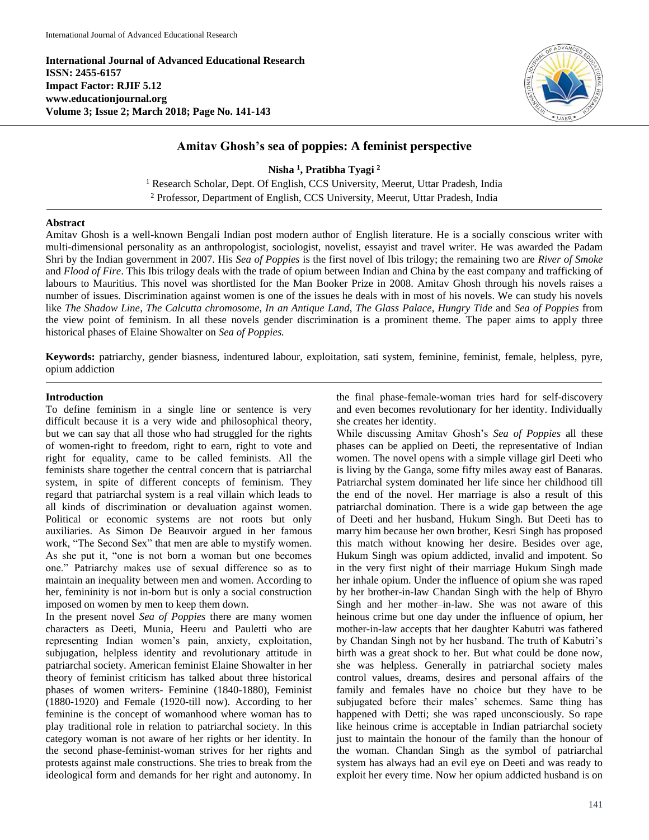**International Journal of Advanced Educational Research ISSN: 2455-6157 Impact Factor: RJIF 5.12 www.educationjournal.org Volume 3; Issue 2; March 2018; Page No. 141-143**



## **Amitav Ghosh's sea of poppies: A feminist perspective**

**Nisha <sup>1</sup> , Pratibha Tyagi <sup>2</sup>**

<sup>1</sup> Research Scholar, Dept. Of English, CCS University, Meerut, Uttar Pradesh, India <sup>2</sup> Professor, Department of English, CCS University, Meerut, Uttar Pradesh, India

## **Abstract**

Amitav Ghosh is a well-known Bengali Indian post modern author of English literature. He is a socially conscious writer with multi-dimensional personality as an anthropologist, sociologist, novelist, essayist and travel writer. He was awarded the Padam Shri by the Indian government in 2007. His *Sea of Poppies* is the first novel of Ibis trilogy; the remaining two are *River of Smoke* and *Flood of Fire*. This Ibis trilogy deals with the trade of opium between Indian and China by the east company and trafficking of labours to Mauritius. This novel was shortlisted for the Man Booker Prize in 2008. Amitav Ghosh through his novels raises a number of issues. Discrimination against women is one of the issues he deals with in most of his novels. We can study his novels like *The Shadow Line*, *The Calcutta chromosome*, *In an Antique Land*, *The Glass Palace*, *Hungry Tide* and *Sea of Poppies* from the view point of feminism. In all these novels gender discrimination is a prominent theme. The paper aims to apply three historical phases of Elaine Showalter on *Sea of Poppies.*

**Keywords:** patriarchy, gender biasness, indentured labour, exploitation, sati system, feminine, feminist, female, helpless, pyre, opium addiction

## **Introduction**

To define feminism in a single line or sentence is very difficult because it is a very wide and philosophical theory, but we can say that all those who had struggled for the rights of women-right to freedom, right to earn, right to vote and right for equality, came to be called feminists. All the feminists share together the central concern that is patriarchal system, in spite of different concepts of feminism. They regard that patriarchal system is a real villain which leads to all kinds of discrimination or devaluation against women. Political or economic systems are not roots but only auxiliaries. As Simon De Beauvoir argued in her famous work, "The Second Sex" that men are able to mystify women. As she put it, "one is not born a woman but one becomes one." Patriarchy makes use of sexual difference so as to maintain an inequality between men and women. According to her, femininity is not in-born but is only a social construction imposed on women by men to keep them down.

In the present novel *Sea of Poppies* there are many women characters as Deeti, Munia, Heeru and Pauletti who are representing Indian women's pain, anxiety, exploitation, subjugation, helpless identity and revolutionary attitude in patriarchal society. American feminist Elaine Showalter in her theory of feminist criticism has talked about three historical phases of women writers- Feminine (1840-1880), Feminist (1880-1920) and Female (1920-till now). According to her feminine is the concept of womanhood where woman has to play traditional role in relation to patriarchal society. In this category woman is not aware of her rights or her identity. In the second phase-feminist-woman strives for her rights and protests against male constructions. She tries to break from the ideological form and demands for her right and autonomy. In

the final phase-female-woman tries hard for self-discovery and even becomes revolutionary for her identity. Individually she creates her identity.

While discussing Amitav Ghosh's *Sea of Poppies* all these phases can be applied on Deeti, the representative of Indian women. The novel opens with a simple village girl Deeti who is living by the Ganga, some fifty miles away east of Banaras. Patriarchal system dominated her life since her childhood till the end of the novel. Her marriage is also a result of this patriarchal domination. There is a wide gap between the age of Deeti and her husband, Hukum Singh. But Deeti has to marry him because her own brother, Kesri Singh has proposed this match without knowing her desire. Besides over age, Hukum Singh was opium addicted, invalid and impotent. So in the very first night of their marriage Hukum Singh made her inhale opium. Under the influence of opium she was raped by her brother-in-law Chandan Singh with the help of Bhyro Singh and her mother–in-law. She was not aware of this heinous crime but one day under the influence of opium, her mother-in-law accepts that her daughter Kabutri was fathered by Chandan Singh not by her husband. The truth of Kabutri's birth was a great shock to her. But what could be done now, she was helpless. Generally in patriarchal society males control values, dreams, desires and personal affairs of the family and females have no choice but they have to be subjugated before their males' schemes. Same thing has happened with Detti; she was raped unconsciously. So rape like heinous crime is acceptable in Indian patriarchal society just to maintain the honour of the family than the honour of the woman. Chandan Singh as the symbol of patriarchal system has always had an evil eye on Deeti and was ready to exploit her every time. Now her opium addicted husband is on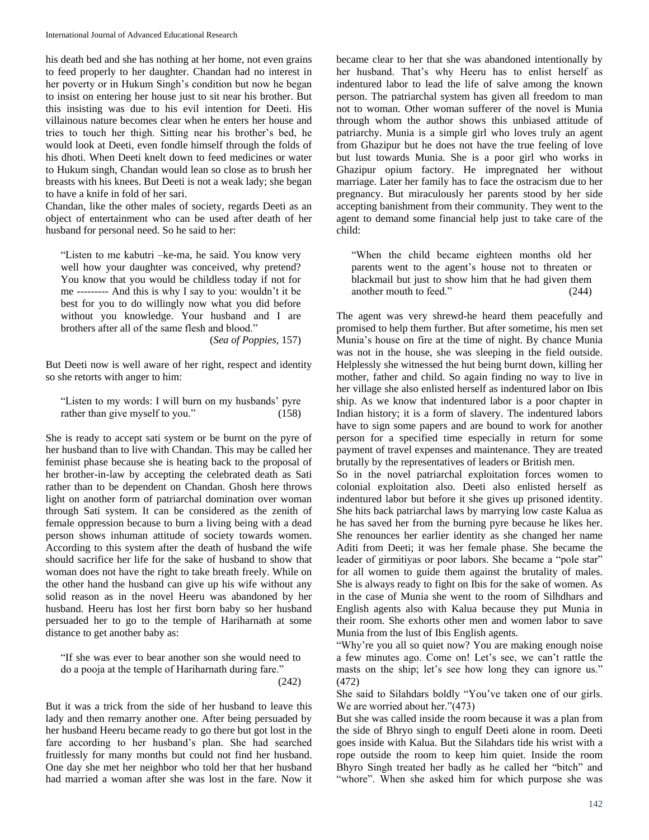his death bed and she has nothing at her home, not even grains to feed properly to her daughter. Chandan had no interest in her poverty or in Hukum Singh's condition but now he began to insist on entering her house just to sit near his brother. But this insisting was due to his evil intention for Deeti. His villainous nature becomes clear when he enters her house and tries to touch her thigh. Sitting near his brother's bed, he would look at Deeti, even fondle himself through the folds of his dhoti. When Deeti knelt down to feed medicines or water to Hukum singh, Chandan would lean so close as to brush her breasts with his knees. But Deeti is not a weak lady; she began to have a knife in fold of her sari.

Chandan, like the other males of society, regards Deeti as an object of entertainment who can be used after death of her husband for personal need. So he said to her:

"Listen to me kabutri –ke-ma, he said. You know very well how your daughter was conceived, why pretend? You know that you would be childless today if not for me --------- And this is why I say to you: wouldn't it be best for you to do willingly now what you did before without you knowledge. Your husband and I are brothers after all of the same flesh and blood."

(*Sea of Poppies*, 157)

But Deeti now is well aware of her right, respect and identity so she retorts with anger to him:

"Listen to my words: I will burn on my husbands' pyre rather than give myself to you." (158)

She is ready to accept sati system or be burnt on the pyre of her husband than to live with Chandan. This may be called her feminist phase because she is heating back to the proposal of her brother-in-law by accepting the celebrated death as Sati rather than to be dependent on Chandan. Ghosh here throws light on another form of patriarchal domination over woman through Sati system. It can be considered as the zenith of female oppression because to burn a living being with a dead person shows inhuman attitude of society towards women. According to this system after the death of husband the wife should sacrifice her life for the sake of husband to show that woman does not have the right to take breath freely. While on the other hand the husband can give up his wife without any solid reason as in the novel Heeru was abandoned by her husband. Heeru has lost her first born baby so her husband persuaded her to go to the temple of Hariharnath at some distance to get another baby as:

"If she was ever to bear another son she would need to do a pooja at the temple of Hariharnath during fare."  $(242)$ 

But it was a trick from the side of her husband to leave this lady and then remarry another one. After being persuaded by her husband Heeru became ready to go there but got lost in the fare according to her husband's plan. She had searched fruitlessly for many months but could not find her husband. One day she met her neighbor who told her that her husband had married a woman after she was lost in the fare. Now it

became clear to her that she was abandoned intentionally by her husband. That's why Heeru has to enlist herself as indentured labor to lead the life of salve among the known person. The patriarchal system has given all freedom to man not to woman. Other woman sufferer of the novel is Munia through whom the author shows this unbiased attitude of patriarchy. Munia is a simple girl who loves truly an agent from Ghazipur but he does not have the true feeling of love but lust towards Munia. She is a poor girl who works in Ghazipur opium factory. He impregnated her without marriage. Later her family has to face the ostracism due to her pregnancy. But miraculously her parents stood by her side accepting banishment from their community. They went to the agent to demand some financial help just to take care of the child:

"When the child became eighteen months old her parents went to the agent's house not to threaten or blackmail but just to show him that he had given them another mouth to feed." (244)

The agent was very shrewd-he heard them peacefully and promised to help them further. But after sometime, his men set Munia's house on fire at the time of night. By chance Munia was not in the house, she was sleeping in the field outside. Helplessly she witnessed the hut being burnt down, killing her mother, father and child. So again finding no way to live in her village she also enlisted herself as indentured labor on Ibis ship. As we know that indentured labor is a poor chapter in Indian history; it is a form of slavery. The indentured labors have to sign some papers and are bound to work for another person for a specified time especially in return for some payment of travel expenses and maintenance. They are treated brutally by the representatives of leaders or British men.

So in the novel patriarchal exploitation forces women to colonial exploitation also. Deeti also enlisted herself as indentured labor but before it she gives up prisoned identity. She hits back patriarchal laws by marrying low caste Kalua as he has saved her from the burning pyre because he likes her. She renounces her earlier identity as she changed her name Aditi from Deeti; it was her female phase. She became the leader of girmitiyas or poor labors. She became a "pole star" for all women to guide them against the brutality of males. She is always ready to fight on Ibis for the sake of women. As in the case of Munia she went to the room of Silhdhars and English agents also with Kalua because they put Munia in their room. She exhorts other men and women labor to save Munia from the lust of Ibis English agents.

"Why're you all so quiet now? You are making enough noise a few minutes ago. Come on! Let's see, we can't rattle the masts on the ship; let's see how long they can ignore us." (472)

She said to Silahdars boldly "You've taken one of our girls. We are worried about her."(473)

But she was called inside the room because it was a plan from the side of Bhryo singh to engulf Deeti alone in room. Deeti goes inside with Kalua. But the Silahdars tide his wrist with a rope outside the room to keep him quiet. Inside the room Bhyro Singh treated her badly as he called her "bitch" and "whore". When she asked him for which purpose she was